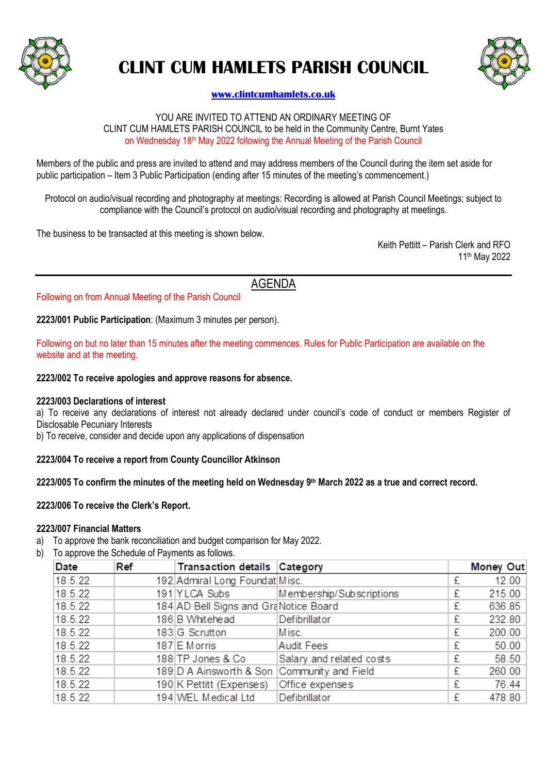

# **CLINT CUM HAMLETS PARISH COUNCIL**



# **[www.clintcumhamlets.co.uk](http://www.clintcumhamlets.co.uk/)**

#### YOU ARE INVITED TO ATTEND AN ORDINARY MEETING OF CLINT CUM HAMLETS PARISH COUNCIL to be held in the Community Centre, Burnt Yates on Wednesday 18th May 2022 following the Annual Meeting of the Parish Council

Members of the public and press are invited to attend and may address members of the Council during the item set aside for public participation – Item 3 Public Participation (ending after 15 minutes of the meeting's commencement.)

Protocol on audio/visual recording and photography at meetings: Recording is allowed at Parish Council Meetings; subject to compliance with the Council's protocol on audio/visual recording and photography at meetings.

The business to be transacted at this meeting is shown below.

Keith Pettitt – Parish Clerk and RFO 11 th May 2022

AGENDA

Following on from Annual Meeting of the Parish Council

**2223/001 Public Participation**: (Maximum 3 minutes per person).

Following on but no later than 15 minutes after the meeting commences. Rules for Public Participation are available on the website and at the meeting.

#### **2223/002 To receive apologies and approve reasons for absence.**

#### **2223/003 Declarations of interest**

a) To receive any declarations of interest not already declared under council's code of conduct or members Register of Disclosable Pecuniary Interests

b) To receive, consider and decide upon any applications of dispensation

#### **2223/004 To receive a report from County Councillor Atkinson**

**2223/005 To confirm the minutes of the meeting held on Wednesday 9 th March 2022 as a true and correct record.**

## **2223/006 To receive the Clerk's Report.**

#### **2223/007 Financial Matters**

- a) To approve the bank reconciliation and budget comparison for May 2022.
- b) To approve the Schedule of Payments as follows.

| Date    | Ref | <b>Transaction details Category</b>         |                          |   | <b>Money Out</b> |
|---------|-----|---------------------------------------------|--------------------------|---|------------------|
| 18.5.22 |     | 192 Admiral Long Foundat Misc.              |                          | £ | 12.00            |
| 18.5.22 |     | 191 YLCA Subs                               | Membership/Subscriptions | £ | 215.00           |
| 18.5.22 |     | 184 AD Bell Signs and GraNotice Board       |                          | £ | 636.85           |
| 18.5.22 |     | 186 B Whitehead                             | Defibrillator            | £ | 232.80           |
| 18.5.22 |     | 183 G Scrutton                              | Misc.                    | £ | 200.00           |
| 18.5.22 |     | 187 E Morris                                | Audit Fees               | £ | 50.00            |
| 18.5.22 |     | 188 TP Jones & Co                           | Salary and related costs | £ | 58.50            |
| 18.5.22 |     | 189 D A Ainsworth & Son Community and Field |                          | £ | 260.00           |
| 18.5.22 |     | 190 K Pettitt (Expenses)                    | Office expenses          | £ | 76.44            |
| 18.5.22 |     | 194 WEL Medical Ltd                         | Defibrillator            | £ | 478.80           |